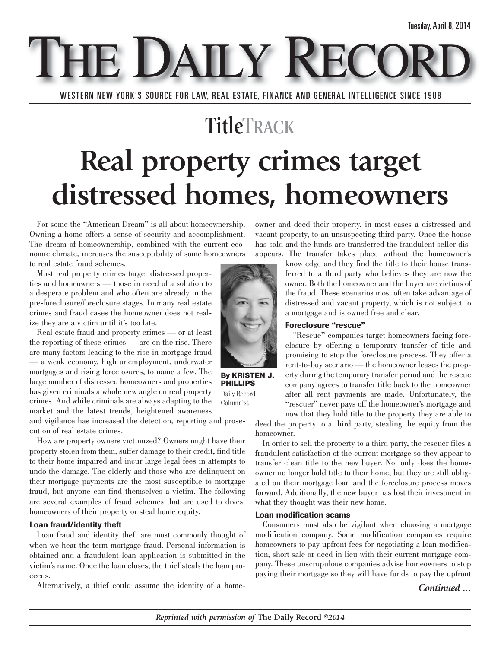**THE DAILY RECO** WESTERN NEW YORK'S SOURCE FOR LAW, REAL ESTATE, FINANCE AND GENERAL INTELLIGENCE SINCE 1908

### **TitleTRACK**

## **Real property crimes target distressed homes, homeowners**

For some the "American Dream" is all about homeownership. Owning a home offers a sense of security and accomplishment. The dream of homeownership, combined with the current economic climate, increases the susceptibility of some homeowners to real estate fraud schemes.

Most real property crimes target distressed properties and homeowners — those in need of a solution to a desperate problem and who often are already in the pre-foreclosure/foreclosure stages. In many real estate crimes and fraud cases the homeowner does not realize they are a victim until it's too late.

Real estate fraud and property crimes — or at least the reporting of these crimes — are on the rise. There are many factors leading to the rise in mortgage fraud — a weak economy, high unemployment, underwater mortgages and rising foreclosures, to name a few. The large number of distressed homeowners and properties has given criminals a whole new angle on real property crimes. And while criminals are always adapting to the market and the latest trends, heightened awareness

and vigilance has increased the detection, reporting and prosecution of real estate crimes.

How are property owners victimized? Owners might have their property stolen from them, suffer damage to their credit, find title to their home impaired and incur large legal fees in attempts to undo the damage. The elderly and those who are delinquent on their mortgage payments are the most susceptible to mortgage fraud, but anyone can find themselves a victim. The following are several examples of fraud schemes that are used to divest homeowners of their property or steal home equity.

#### **Loan fraud/identity theft**

Loan fraud and identity theft are most commonly thought of when we hear the term mortgage fraud. Personal information is obtained and a fraudulent loan application is submitted in the victim's name. Once the loan closes, the thief steals the loan proceeds.

Alternatively, a thief could assume the identity of a home-

owner and deed their property, in most cases a distressed and vacant property, to an unsuspecting third party. Once the house has sold and the funds are transferred the fraudulent seller disappears. The transfer takes place without the homeowner's



**By KRISTEN J. PHILLIPS** Daily Record

Columnist

knowledge and they find the title to their house transferred to a third party who believes they are now the owner. Both the homeowner and the buyer are victims of the fraud. These scenarios most often take advantage of distressed and vacant property, which is not subject to a mortgage and is owned free and clear.

#### **Foreclosure "rescue"**

"Rescue" companies target homeowners facing foreclosure by offering a temporary transfer of title and promising to stop the foreclosure process. They offer a rent-to-buy scenario — the homeowner leases the property during the temporary transfer period and the rescue company agrees to transfer title back to the homeowner after all rent payments are made. Unfortunately, the "rescuer" never pays off the homeowner's mortgage and now that they hold title to the property they are able to

deed the property to a third party, stealing the equity from the homeowner.

In order to sell the property to a third party, the rescuer files a fraudulent satisfaction of the current mortgage so they appear to transfer clean title to the new buyer. Not only does the homeowner no longer hold title to their home, but they are still obligated on their mortgage loan and the foreclosure process moves forward. Additionally, the new buyer has lost their investment in what they thought was their new home.

#### **Loan modification scams**

Consumers must also be vigilant when choosing a mortgage modification company. Some modification companies require homeowners to pay upfront fees for negotiating a loan modification, short sale or deed in lieu with their current mortgage company. These unscrupulous companies advise homeowners to stop paying their mortgage so they will have funds to pay the upfront

*Continued ...*